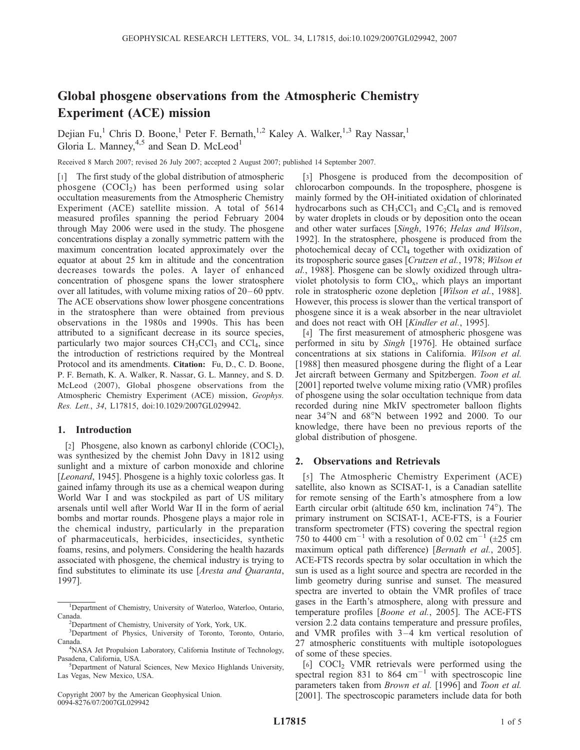# Global phosgene observations from the Atmospheric Chemistry Experiment (ACE) mission

Dejian Fu,<sup>1</sup> Chris D. Boone,<sup>1</sup> Peter F. Bernath,<sup>1,2</sup> Kaley A. Walker,<sup>1,3</sup> Ray Nassar,<sup>1</sup> Gloria L. Manney,  $4.5$  and Sean D. McLeod<sup>1</sup>

Received 8 March 2007; revised 26 July 2007; accepted 2 August 2007; published 14 September 2007.

[1] The first study of the global distribution of atmospheric phosgene  $(COC1<sub>2</sub>)$  has been performed using solar occultation measurements from the Atmospheric Chemistry Experiment (ACE) satellite mission. A total of 5614 measured profiles spanning the period February 2004 through May 2006 were used in the study. The phosgene concentrations display a zonally symmetric pattern with the maximum concentration located approximately over the equator at about 25 km in altitude and the concentration decreases towards the poles. A layer of enhanced concentration of phosgene spans the lower stratosphere over all latitudes, with volume mixing ratios of  $20-60$  pptv. The ACE observations show lower phosgene concentrations in the stratosphere than were obtained from previous observations in the 1980s and 1990s. This has been attributed to a significant decrease in its source species, particularly two major sources  $CH<sub>3</sub>CCl<sub>3</sub>$  and  $CCl<sub>4</sub>$ , since the introduction of restrictions required by the Montreal Protocol and its amendments. Citation: Fu, D., C. D. Boone, P. F. Bernath, K. A. Walker, R. Nassar, G. L. Manney, and S. D. McLeod (2007), Global phosgene observations from the Atmospheric Chemistry Experiment (ACE) mission, Geophys. Res. Lett., 34, L17815, doi:10.1029/2007GL029942.

### 1. Introduction

[2] Phosgene, also known as carbonyl chloride  $(COCI<sub>2</sub>)$ , was synthesized by the chemist John Davy in 1812 using sunlight and a mixture of carbon monoxide and chlorine [*Leonard*, 1945]. Phosgene is a highly toxic colorless gas. It gained infamy through its use as a chemical weapon during World War I and was stockpiled as part of US military arsenals until well after World War II in the form of aerial bombs and mortar rounds. Phosgene plays a major role in the chemical industry, particularly in the preparation of pharmaceuticals, herbicides, insecticides, synthetic foams, resins, and polymers. Considering the health hazards associated with phosgene, the chemical industry is trying to find substitutes to eliminate its use [Aresta and Quaranta, 1997].

Copyright 2007 by the American Geophysical Union. 0094-8276/07/2007GL029942

[3] Phosgene is produced from the decomposition of chlorocarbon compounds. In the troposphere, phosgene is mainly formed by the OH-initiated oxidation of chlorinated hydrocarbons such as  $CH_3CCl_3$  and  $C_2Cl_4$  and is removed by water droplets in clouds or by deposition onto the ocean and other water surfaces [Singh, 1976; Helas and Wilson, 1992]. In the stratosphere, phosgene is produced from the photochemical decay of CCl<sub>4</sub> together with oxidization of its tropospheric source gases [Crutzen et al., 1978; Wilson et al., 1988]. Phosgene can be slowly oxidized through ultraviolet photolysis to form  $CIO<sub>x</sub>$ , which plays an important role in stratospheric ozone depletion [Wilson et al., 1988]. However, this process is slower than the vertical transport of phosgene since it is a weak absorber in the near ultraviolet and does not react with OH [Kindler et al., 1995].

[4] The first measurement of atmospheric phosgene was performed in situ by Singh [1976]. He obtained surface concentrations at six stations in California. Wilson et al. [1988] then measured phosgene during the flight of a Lear Jet aircraft between Germany and Spitzbergen. Toon et al. [2001] reported twelve volume mixing ratio (VMR) profiles of phosgene using the solar occultation technique from data recorded during nine MkIV spectrometer balloon flights near 34°N and 68°N between 1992 and 2000. To our knowledge, there have been no previous reports of the global distribution of phosgene.

## 2. Observations and Retrievals

[5] The Atmospheric Chemistry Experiment (ACE) satellite, also known as SCISAT-1, is a Canadian satellite for remote sensing of the Earth's atmosphere from a low Earth circular orbit (altitude 650 km, inclination  $74^{\circ}$ ). The primary instrument on SCISAT-1, ACE-FTS, is a Fourier transform spectrometer (FTS) covering the spectral region 750 to 4400 cm<sup>-1</sup> with a resolution of 0.02 cm<sup>-1</sup> ( $\pm 25$  cm maximum optical path difference) [Bernath et al., 2005]. ACE-FTS records spectra by solar occultation in which the sun is used as a light source and spectra are recorded in the limb geometry during sunrise and sunset. The measured spectra are inverted to obtain the VMR profiles of trace gases in the Earth's atmosphere, along with pressure and temperature profiles [Boone et al., 2005]. The ACE-FTS version 2.2 data contains temperature and pressure profiles, and VMR profiles with  $3-4$  km vertical resolution of 27 atmospheric constituents with multiple isotopologues of some of these species.

[6] COCl<sub>2</sub> VMR retrievals were performed using the spectral region 831 to 864  $cm^{-1}$  with spectroscopic line parameters taken from Brown et al. [1996] and Toon et al. [2001]. The spectroscopic parameters include data for both

<sup>&</sup>lt;sup>1</sup>Department of Chemistry, University of Waterloo, Waterloo, Ontario, Canada.

Department of Chemistry, University of York, York, UK.

<sup>&</sup>lt;sup>3</sup>Department of Physics, University of Toronto, Toronto, Ontario, Canada.

<sup>&</sup>lt;sup>4</sup>NASA Jet Propulsion Laboratory, California Institute of Technology, Pasadena, California, USA. <sup>5</sup>

<sup>&</sup>lt;sup>5</sup>Department of Natural Sciences, New Mexico Highlands University, Las Vegas, New Mexico, USA.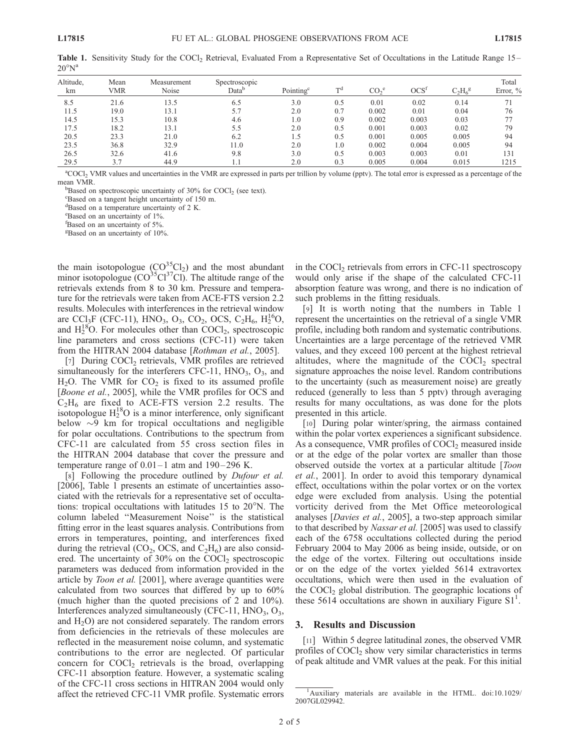| Altitude,<br>km | Mean<br>VMR | Measurement<br>Noise | Spectroscopic<br>Data <sup>b</sup> | Pointing <sup>c</sup> | T <sup>d</sup> | $CO2$ <sup>e</sup> | OCS <sup>t</sup> | $C_2H_6^g$ | Total<br>Error, $\%$ |
|-----------------|-------------|----------------------|------------------------------------|-----------------------|----------------|--------------------|------------------|------------|----------------------|
| 8.5             | 21.6        | 13.5                 | 6.5                                | 3.0                   | 0.5            | 0.01               | 0.02             | 0.14       | 71                   |
| 11.5            | 19.0        | 13.1                 | 5.7                                | 2.0                   | 0.7            | 0.002              | 0.01             | 0.04       | 76                   |
| 14.5            | 15.3        | 10.8                 | 4.6                                | 1.0                   | 0.9            | 0.002              | 0.003            | 0.03       | 77                   |
| 17.5            | 18.2        | 13.1                 | 5.5                                | 2.0                   | 0.5            | 0.001              | 0.003            | 0.02       | 79                   |
| 20.5            | 23.3        | 21.0                 | 6.2                                | 1.5                   | 0.5            | 0.001              | 0.005            | 0.005      | 94                   |
| 23.5            | 36.8        | 32.9                 | 11.0                               | 2.0                   | 1.0            | 0.002              | 0.004            | 0.005      | 94                   |
| 26.5            | 32.6        | 41.6                 | 9.8                                | 3.0                   | 0.5            | 0.003              | 0.003            | 0.01       | 131                  |
| 29.5            | 3.7         | 44.9                 |                                    | 2.0                   | 0.3            | 0.005              | 0.004            | 0.015      | 1215                 |

Table 1. Sensitivity Study for the COCl<sub>2</sub> Retrieval, Evaluated From a Representative Set of Occultations in the Latitude Range 15–  $20^{\circ}N^{a}$ 

<sup>a</sup>COCl<sub>2</sub> VMR values and uncertainties in the VMR are expressed in parts per trillion by volume (pptv). The total error is expressed as a percentage of the mean VMR.

 $B$ ased on spectroscopic uncertainty of 30% for COCl<sub>2</sub> (see text).

Based on a tangent height uncertainty of 150 m.

d Based on a temperature uncertainty of 2 K.

e Based on an uncertainty of 1%.

fBased on an uncertainty of 5%.

g Based on an uncertainty of 10%.

the main isotopologue  $(CO^{35}Cl_2)$  and the most abundant minor isotopologue  $(CO^{35}Cl^{37}Cl)$ . The altitude range of the retrievals extends from 8 to 30 km. Pressure and temperature for the retrievals were taken from ACE-FTS version 2.2 results. Molecules with interferences in the retrieval window are CCl<sub>3</sub>F (CFC-11), HNO<sub>3</sub>, O<sub>3</sub>, CO<sub>2</sub>, OCS, C<sub>2</sub>H<sub>6</sub>, H<sub>2</sub><sup>1</sup><sup>6</sup>O<sub>2</sub> and  $H_2^{18}O$ . For molecules other than  $COCl_2$ , spectroscopic line parameters and cross sections (CFC-11) were taken from the HITRAN 2004 database [Rothman et al., 2005].

[7] During COCl<sub>2</sub> retrievals, VMR profiles are retrieved simultaneously for the interferers CFC-11,  $HNO<sub>3</sub>, O<sub>3</sub>$ , and  $H<sub>2</sub>O$ . The VMR for  $CO<sub>2</sub>$  is fixed to its assumed profile [Boone et al., 2005], while the VMR profiles for OCS and  $C_2H_6$  are fixed to ACE-FTS version 2.2 results. The isotopologue  $H_2^{18}O$  is a minor interference, only significant below  $\sim$ 9 km for tropical occultations and negligible for polar occultations. Contributions to the spectrum from CFC-11 are calculated from 55 cross section files in the HITRAN 2004 database that cover the pressure and temperature range of  $0.01 - 1$  atm and  $190 - 296$  K.

[8] Following the procedure outlined by Dufour et al. [2006], Table 1 presents an estimate of uncertainties associated with the retrievals for a representative set of occultations: tropical occultations with latitudes 15 to  $20^{\circ}$ N. The column labeled ''Measurement Noise'' is the statistical fitting error in the least squares analysis. Contributions from errors in temperatures, pointing, and interferences fixed during the retrieval  $(CO_2, OCS, and C_2H_6)$  are also considered. The uncertainty of  $30\%$  on the COCl<sub>2</sub> spectroscopic parameters was deduced from information provided in the article by *Toon et al.* [2001], where average quantities were calculated from two sources that differed by up to 60% (much higher than the quoted precisions of 2 and 10%). Interferences analyzed simultaneously (CFC-11,  $HNO<sub>3</sub>, O<sub>3</sub>$ , and  $H_2O$ ) are not considered separately. The random errors from deficiencies in the retrievals of these molecules are reflected in the measurement noise column, and systematic contributions to the error are neglected. Of particular concern for COCl<sub>2</sub> retrievals is the broad, overlapping CFC-11 absorption feature. However, a systematic scaling of the CFC-11 cross sections in HITRAN 2004 would only affect the retrieved CFC-11 VMR profile. Systematic errors

in the COCl<sub>2</sub> retrievals from errors in CFC-11 spectroscopy would only arise if the shape of the calculated CFC-11 absorption feature was wrong, and there is no indication of such problems in the fitting residuals.

[9] It is worth noting that the numbers in Table 1 represent the uncertainties on the retrieval of a single VMR profile, including both random and systematic contributions. Uncertainties are a large percentage of the retrieved VMR values, and they exceed 100 percent at the highest retrieval altitudes, where the magnitude of the  $COCl<sub>2</sub>$  spectral signature approaches the noise level. Random contributions to the uncertainty (such as measurement noise) are greatly reduced (generally to less than 5 pptv) through averaging results for many occultations, as was done for the plots presented in this article.

[10] During polar winter/spring, the airmass contained within the polar vortex experiences a significant subsidence. As a consequence, VMR profiles of  $COCl<sub>2</sub>$  measured inside or at the edge of the polar vortex are smaller than those observed outside the vortex at a particular altitude [*Toon*] et al., 2001]. In order to avoid this temporary dynamical effect, occultations within the polar vortex or on the vortex edge were excluded from analysis. Using the potential vorticity derived from the Met Office meteorological analyses [Davies et al., 2005], a two-step approach similar to that described by Nassar et al. [2005] was used to classify each of the 6758 occultations collected during the period February 2004 to May 2006 as being inside, outside, or on the edge of the vortex. Filtering out occultations inside or on the edge of the vortex yielded 5614 extravortex occultations, which were then used in the evaluation of the  $COCl<sub>2</sub>$  global distribution. The geographic locations of these  $561\overline{4}$  occultations are shown in auxiliary Figure S1<sup>1</sup>.

#### 3. Results and Discussion

[11] Within 5 degree latitudinal zones, the observed VMR profiles of COCl<sub>2</sub> show very similar characteristics in terms of peak altitude and VMR values at the peak. For this initial

<sup>&</sup>lt;sup>1</sup>Auxiliary materials are available in the HTML. doi:10.1029/ 2007GL029942.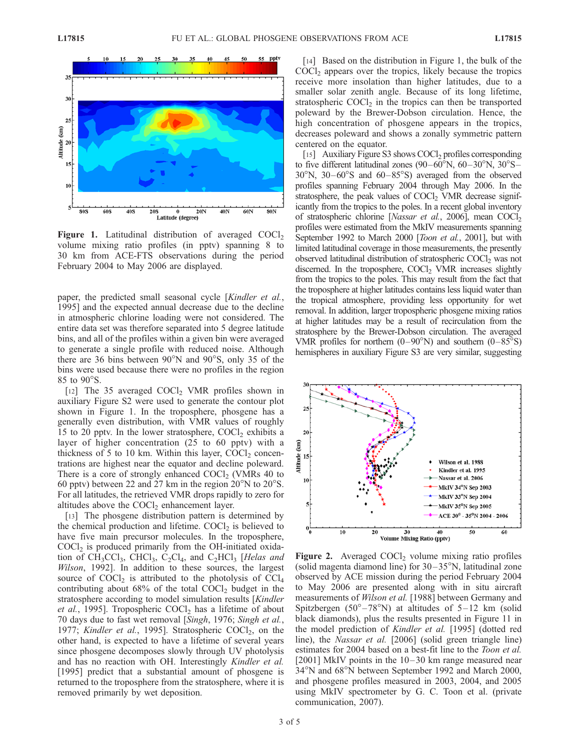

**Figure 1.** Latitudinal distribution of averaged  $COCl<sub>2</sub>$ volume mixing ratio profiles (in pptv) spanning 8 to 30 km from ACE-FTS observations during the period February 2004 to May 2006 are displayed.

paper, the predicted small seasonal cycle [Kindler et al., 1995] and the expected annual decrease due to the decline in atmospheric chlorine loading were not considered. The entire data set was therefore separated into 5 degree latitude bins, and all of the profiles within a given bin were averaged to generate a single profile with reduced noise. Although there are 36 bins between  $90^{\circ}$ N and  $90^{\circ}$ S, only 35 of the bins were used because there were no profiles in the region 85 to 90°S.

[12] The 35 averaged COCl<sub>2</sub> VMR profiles shown in auxiliary Figure S2 were used to generate the contour plot shown in Figure 1. In the troposphere, phosgene has a generally even distribution, with VMR values of roughly 15 to 20 pptv. In the lower stratosphere,  $COCl<sub>2</sub>$  exhibits a layer of higher concentration (25 to 60 pptv) with a thickness of 5 to 10 km. Within this layer,  $COCl<sub>2</sub>$  concentrations are highest near the equator and decline poleward. There is a core of strongly enhanced  $COCl<sub>2</sub>$  (VMRs 40 to 60 pptv) between 22 and 27 km in the region  $20^{\circ}$ N to  $20^{\circ}$ S. For all latitudes, the retrieved VMR drops rapidly to zero for altitudes above the  $COCl<sub>2</sub>$  enhancement layer.

[13] The phosgene distribution pattern is determined by the chemical production and lifetime.  $COCl<sub>2</sub>$  is believed to have five main precursor molecules. In the troposphere,  $COCl<sub>2</sub>$  is produced primarily from the OH-initiated oxidation of  $CH_3CCl_3$ ,  $CHCl_3$ ,  $C_2Cl_4$ , and  $C_2HCl_3$  [Helas and Wilson, 1992]. In addition to these sources, the largest source of  $COCl<sub>2</sub>$  is attributed to the photolysis of  $CCl<sub>4</sub>$ contributing about  $68\%$  of the total  $COCl<sub>2</sub>$  budget in the stratosphere according to model simulation results [Kindler] et al., 1995]. Tropospheric  $COCl<sub>2</sub>$  has a lifetime of about 70 days due to fast wet removal [Singh, 1976; Singh et al., 1977; Kindler et al., 1995]. Stratospheric  $COCl<sub>2</sub>$ , on the other hand, is expected to have a lifetime of several years since phosgene decomposes slowly through UV photolysis and has no reaction with OH. Interestingly Kindler et al. [1995] predict that a substantial amount of phosgene is returned to the troposphere from the stratosphere, where it is removed primarily by wet deposition.

[14] Based on the distribution in Figure 1, the bulk of the  $COCl<sub>2</sub>$  appears over the tropics, likely because the tropics receive more insolation than higher latitudes, due to a smaller solar zenith angle. Because of its long lifetime, stratospheric  $COCl<sub>2</sub>$  in the tropics can then be transported poleward by the Brewer-Dobson circulation. Hence, the high concentration of phosgene appears in the tropics, decreases poleward and shows a zonally symmetric pattern centered on the equator.

[15] Auxiliary Figure S3 shows COCl<sub>2</sub> profiles corresponding to five different latitudinal zones  $(90-60^{\circ}N, 60-30^{\circ}N, 30^{\circ}S 30^{\circ}$ N,  $30-60^{\circ}$ S and  $60-85^{\circ}$ S) averaged from the observed profiles spanning February 2004 through May 2006. In the stratosphere, the peak values of  $COCl<sub>2</sub>$  VMR decrease significantly from the tropics to the poles. In a recent global inventory of stratospheric chlorine [Nassar et al., 2006], mean COCl<sub>2</sub> profiles were estimated from the MkIV measurements spanning September 1992 to March 2000 [Toon et al., 2001], but with limited latitudinal coverage in those measurements, the presently observed latitudinal distribution of stratospheric COCl<sub>2</sub> was not discerned. In the troposphere,  $COCl<sub>2</sub>$  VMR increases slightly from the tropics to the poles. This may result from the fact that the troposphere at higher latitudes contains less liquid water than the tropical atmosphere, providing less opportunity for wet removal. In addition, larger tropospheric phosgene mixing ratios at higher latitudes may be a result of recirculation from the stratosphere by the Brewer-Dobson circulation. The averaged VMR profiles for northern  $(0-90^{\circ}N)$  and southern  $(0-85^{\circ}S)$ hemispheres in auxiliary Figure S3 are very similar, suggesting



Figure 2. Averaged  $COCl<sub>2</sub>$  volume mixing ratio profiles (solid magenta diamond line) for  $30-35^{\circ}$ N, latitudinal zone observed by ACE mission during the period February 2004 to May 2006 are presented along with in situ aircraft measurements of Wilson et al. [1988] between Germany and Spitzbergen ( $50^{\circ} - 78^{\circ}$ N) at altitudes of  $5 - 12$  km (solid black diamonds), plus the results presented in Figure 11 in the model prediction of Kindler et al. [1995] (dotted red line), the Nassar et al. [2006] (solid green triangle line) estimates for 2004 based on a best-fit line to the Toon et al. [2001] MkIV points in the 10–30 km range measured near 34°N and 68°N between September 1992 and March 2000, and phosgene profiles measured in 2003, 2004, and 2005 using MkIV spectrometer by G. C. Toon et al. (private communication, 2007).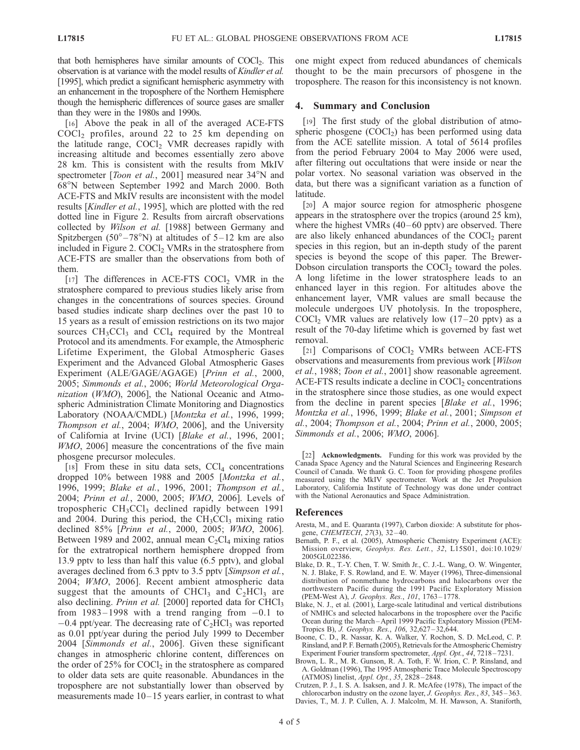that both hemispheres have similar amounts of  $COCl<sub>2</sub>$ . This observation is at variance with the model results of Kindler et al. [1995], which predict a significant hemispheric asymmetry with an enhancement in the troposphere of the Northern Hemisphere though the hemispheric differences of source gases are smaller than they were in the 1980s and 1990s.

[16] Above the peak in all of the averaged ACE-FTS  $COCl<sub>2</sub>$  profiles, around 22 to 25 km depending on the latitude range,  $COCl<sub>2</sub>$  VMR decreases rapidly with increasing altitude and becomes essentially zero above 28 km. This is consistent with the results from MkIV spectrometer [*Toon et al.*, 2001] measured near  $34^{\circ}$ N and 68°N between September 1992 and March 2000. Both ACE-FTS and MkIV results are inconsistent with the model results [Kindler et al., 1995], which are plotted with the red dotted line in Figure 2. Results from aircraft observations collected by Wilson et al. [1988] between Germany and Spitzbergen (50 $^{\circ}$ -78 $^{\circ}$ N) at altitudes of 5-12 km are also included in Figure 2.  $COCl<sub>2</sub>$  VMRs in the stratosphere from ACE-FTS are smaller than the observations from both of them.

[17] The differences in ACE-FTS COCl<sub>2</sub> VMR in the stratosphere compared to previous studies likely arise from changes in the concentrations of sources species. Ground based studies indicate sharp declines over the past 10 to 15 years as a result of emission restrictions on its two major sources  $CH_3CCl_3$  and  $CCl_4$  required by the Montreal Protocol and its amendments. For example, the Atmospheric Lifetime Experiment, the Global Atmospheric Gases Experiment and the Advanced Global Atmospheric Gases Experiment (ALE/GAGE/AGAGE) [Prinn et al., 2000, 2005; Simmonds et al., 2006; World Meteorological Organization (WMO), 2006], the National Oceanic and Atmospheric Administration Climate Monitoring and Diagnostics Laboratory (NOAA/CMDL) [Montzka et al., 1996, 1999; Thompson et al., 2004; WMO, 2006], and the University of California at Irvine (UCI) [Blake et al., 1996, 2001; WMO, 2006] measure the concentrations of the five main phosgene precursor molecules.

[18] From these in situ data sets,  $CCl<sub>4</sub>$  concentrations dropped 10% between 1988 and 2005 [Montzka et al., 1996, 1999; Blake et al., 1996, 2001; Thompson et al., 2004; Prinn et al., 2000, 2005; WMO, 2006]. Levels of tropospheric  $CH<sub>3</sub>CCl<sub>3</sub>$  declined rapidly between 1991 and 2004. During this period, the  $CH<sub>3</sub>CCl<sub>3</sub>$  mixing ratio declined 85% [Prinn et al., 2000, 2005; WMO, 2006]. Between 1989 and 2002, annual mean  $C_2Cl_4$  mixing ratios for the extratropical northern hemisphere dropped from 13.9 pptv to less than half this value (6.5 pptv), and global averages declined from 6.3 pptv to 3.5 pptv [Simpson et al., 2004; WMO, 2006]. Recent ambient atmospheric data suggest that the amounts of CHCl<sub>3</sub> and  $C_2$ HCl<sub>3</sub> are also declining. *Prinn et al.* [2000] reported data for CHCl<sub>3</sub> from  $1983 - 1998$  with a trend ranging from  $-0.1$  to  $-0.4$  ppt/year. The decreasing rate of  $C_2HCl_3$  was reported as 0.01 ppt/year during the period July 1999 to December 2004 [Simmonds et al., 2006]. Given these significant changes in atmospheric chlorine content, differences on the order of  $25\%$  for COCl<sub>2</sub> in the stratosphere as compared to older data sets are quite reasonable. Abundances in the troposphere are not substantially lower than observed by measurements made  $10-15$  years earlier, in contrast to what

one might expect from reduced abundances of chemicals thought to be the main precursors of phosgene in the troposphere. The reason for this inconsistency is not known.

#### 4. Summary and Conclusion

[19] The first study of the global distribution of atmospheric phosgene  $(COCl<sub>2</sub>)$  has been performed using data from the ACE satellite mission. A total of 5614 profiles from the period February 2004 to May 2006 were used, after filtering out occultations that were inside or near the polar vortex. No seasonal variation was observed in the data, but there was a significant variation as a function of latitude.

[20] A major source region for atmospheric phosgene appears in the stratosphere over the tropics (around 25 km), where the highest VMRs  $(40-60 \text{ pptv})$  are observed. There are also likely enhanced abundances of the  $COCl<sub>2</sub>$  parent species in this region, but an in-depth study of the parent species is beyond the scope of this paper. The Brewer-Dobson circulation transports the COCl<sub>2</sub> toward the poles. A long lifetime in the lower stratosphere leads to an enhanced layer in this region. For altitudes above the enhancement layer, VMR values are small because the molecule undergoes UV photolysis. In the troposphere, COCl<sub>2</sub> VMR values are relatively low  $(17-20 \text{ pptv})$  as a result of the 70-day lifetime which is governed by fast wet removal.

[21] Comparisons of COCl<sub>2</sub> VMRs between ACE-FTS observations and measurements from previous work [Wilson et al., 1988; Toon et al., 2001] show reasonable agreement.  $ACE-FTS$  results indicate a decline in  $COCl<sub>2</sub>$  concentrations in the stratosphere since those studies, as one would expect from the decline in parent species [Blake et al., 1996; Montzka et al., 1996, 1999; Blake et al., 2001; Simpson et al., 2004; Thompson et al., 2004; Prinn et al., 2000, 2005; Simmonds et al., 2006; WMO, 2006].

[22] Acknowledgments. Funding for this work was provided by the Canada Space Agency and the Natural Sciences and Engineering Research Council of Canada. We thank G. C. Toon for providing phosgene profiles measured using the MkIV spectrometer. Work at the Jet Propulsion Laboratory, California Institute of Technology was done under contract with the National Aeronautics and Space Administration.

#### References

- Aresta, M., and E. Quaranta (1997), Carbon dioxide: A substitute for phosgene, CHEMTECH, 27(3), 32 – 40.
- Bernath, P. F., et al. (2005), Atmospheric Chemistry Experiment (ACE): Mission overview, Geophys. Res. Lett., 32, L15S01, doi:10.1029/ 2005GL022386.
- Blake, D. R., T.-Y. Chen, T. W. Smith Jr., C. J.-L. Wang, O. W. Wingenter, N. J. Blake, F. S. Rowland, and E. W. Mayer (1996), Three-dimensional distribution of nonmethane hydrocarbons and halocarbons over the northwestern Pacific during the 1991 Pacific Exploratory Mission (PEM-West A), J. Geophys. Res., 101, 1763 – 1778.
- Blake, N. J., et al. (2001), Large-scale latitudinal and vertical distributions of NMHCs and selected halocarbons in the troposphere over the Pacific Ocean during the March – April 1999 Pacific Exploratory Mission (PEM-Tropics B), J. Geophys. Res., 106, 32,627 – 32,644.
- Boone, C. D., R. Nassar, K. A. Walker, Y. Rochon, S. D. McLeod, C. P. Rinsland, and P. F. Bernath (2005), Retrievals for the Atmospheric Chemistry Experiment Fourier transform spectrometer, Appl. Opt., 44, 7218-7231.
- Brown, L. R., M. R. Gunson, R. A. Toth, F. W. Irion, C. P. Rinsland, and A. Goldman (1996), The 1995 Atmospheric Trace Molecule Spectroscopy (ATMOS) linelist, Appl. Opt., 35, 2828 – 2848.
- Crutzen, P. J., I. S. A. Isaksen, and J. R. McAfee (1978), The impact of the chlorocarbon industry on the ozone layer, *J. Geophys. Res.*, 83, 345–363.
- Davies, T., M. J. P. Cullen, A. J. Malcolm, M. H. Mawson, A. Staniforth,